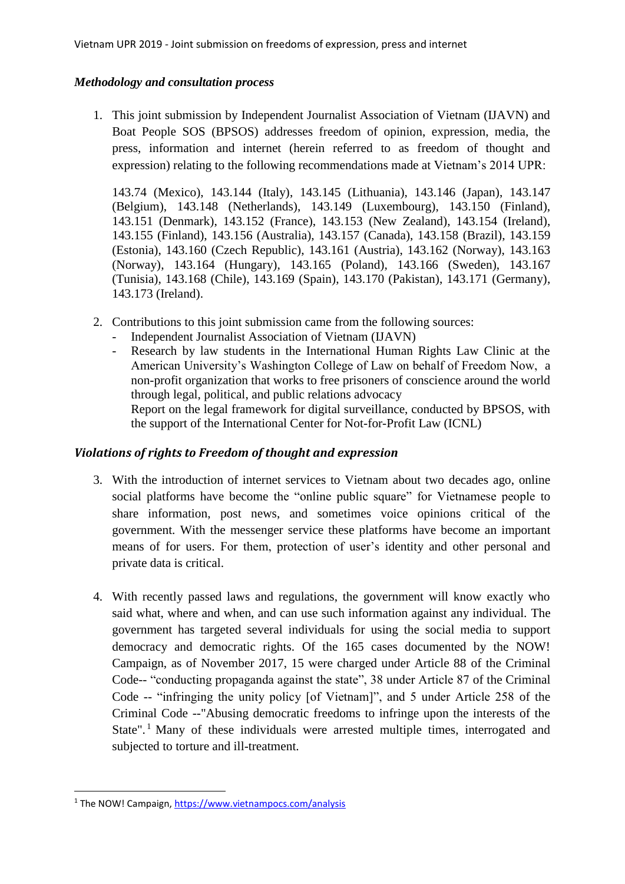## *Methodology and consultation process*

1. This joint submission by Independent Journalist Association of Vietnam (IJAVN) and Boat People SOS (BPSOS) addresses freedom of opinion, expression, media, the press, information and internet (herein referred to as freedom of thought and expression) relating to the following recommendations made at Vietnam's 2014 UPR:

143.74 (Mexico), 143.144 (Italy), 143.145 (Lithuania), 143.146 (Japan), 143.147 (Belgium), 143.148 (Netherlands), 143.149 (Luxembourg), 143.150 (Finland), 143.151 (Denmark), 143.152 (France), 143.153 (New Zealand), 143.154 (Ireland), 143.155 (Finland), 143.156 (Australia), 143.157 (Canada), 143.158 (Brazil), 143.159 (Estonia), 143.160 (Czech Republic), 143.161 (Austria), 143.162 (Norway), 143.163 (Norway), 143.164 (Hungary), 143.165 (Poland), 143.166 (Sweden), 143.167 (Tunisia), 143.168 (Chile), 143.169 (Spain), 143.170 (Pakistan), 143.171 (Germany), 143.173 (Ireland).

- 2. Contributions to this joint submission came from the following sources:
	- Independent Journalist Association of Vietnam (IJAVN)
	- Research by law students in the International Human Rights Law Clinic at the American University's Washington College of Law on behalf of Freedom Now, a non-profit organization that works to free prisoners of conscience around the world through legal, political, and public relations advocacy Report on the legal framework for digital surveillance, conducted by BPSOS, with the support of the International Center for Not-for-Profit Law (ICNL)

# *Violations of rights to Freedom of thought and expression*

- 3. With the introduction of internet services to Vietnam about two decades ago, online social platforms have become the "online public square" for Vietnamese people to share information, post news, and sometimes voice opinions critical of the government. With the messenger service these platforms have become an important means of for users. For them, protection of user's identity and other personal and private data is critical.
- 4. With recently passed laws and regulations, the government will know exactly who said what, where and when, and can use such information against any individual. The government has targeted several individuals for using the social media to support democracy and democratic rights. Of the 165 cases documented by the NOW! Campaign, as of November 2017, 15 were charged under Article 88 of the Criminal Code-- "conducting propaganda against the state", 38 under Article 87 of the Criminal Code -- "infringing the unity policy [of Vietnam]", and 5 under Article 258 of the Criminal Code --"Abusing democratic freedoms to infringe upon the interests of the State".<sup>1</sup> Many of these individuals were arrested multiple times, interrogated and subjected to torture and ill-treatment.

1

<sup>&</sup>lt;sup>1</sup> The NOW! Campaign,<https://www.vietnampocs.com/analysis>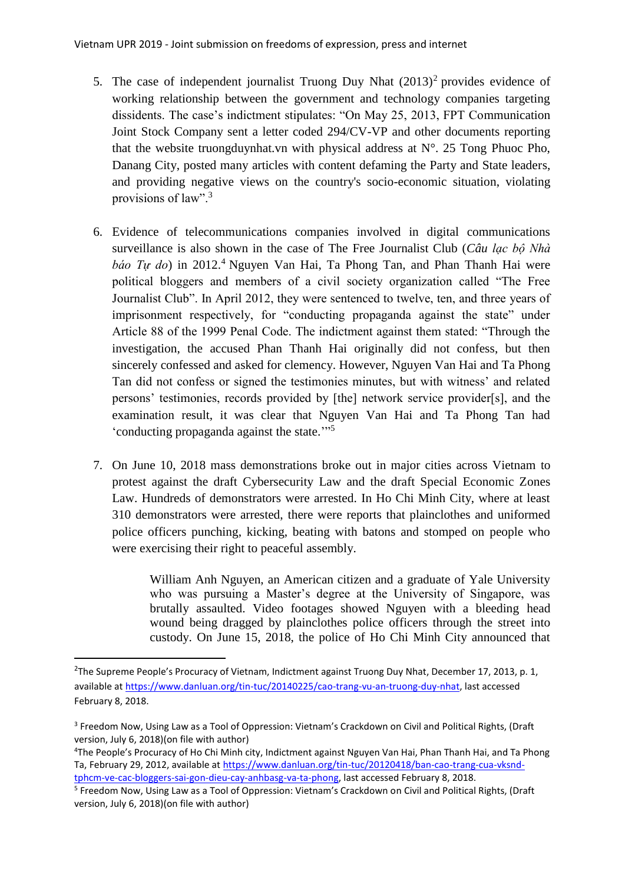- 5. The case of independent journalist Truong Duy Nhat  $(2013)^2$  provides evidence of working relationship between the government and technology companies targeting dissidents. The case's indictment stipulates: "On May 25, 2013, FPT Communication Joint Stock Company sent a letter coded 294/CV-VP and other documents reporting that the website truongduynhat.vn with physical address at N°. 25 Tong Phuoc Pho, Danang City, posted many articles with content defaming the Party and State leaders, and providing negative views on the country's socio-economic situation, violating provisions of law".<sup>3</sup>
- 6. Evidence of telecommunications companies involved in digital communications surveillance is also shown in the case of The Free Journalist Club (*Câu lạc bộ Nhà báo Tự do*) in 2012. <sup>4</sup> Nguyen Van Hai, Ta Phong Tan, and Phan Thanh Hai were political bloggers and members of a civil society organization called "The Free Journalist Club". In April 2012, they were sentenced to twelve, ten, and three years of imprisonment respectively, for "conducting propaganda against the state" under Article 88 of the 1999 Penal Code. The indictment against them stated: "Through the investigation, the accused Phan Thanh Hai originally did not confess, but then sincerely confessed and asked for clemency. However, Nguyen Van Hai and Ta Phong Tan did not confess or signed the testimonies minutes, but with witness' and related persons' testimonies, records provided by [the] network service provider[s], and the examination result, it was clear that Nguyen Van Hai and Ta Phong Tan had 'conducting propaganda against the state."<sup>55</sup>
- 7. On June 10, 2018 mass demonstrations broke out in major cities across Vietnam to protest against the draft Cybersecurity Law and the draft Special Economic Zones Law. Hundreds of demonstrators were arrested. In Ho Chi Minh City, where at least 310 demonstrators were arrested, there were reports that plainclothes and uniformed police officers punching, kicking, beating with batons and stomped on people who were exercising their right to peaceful assembly.

William Anh Nguyen, an American citizen and a graduate of Yale University who was pursuing a Master's degree at the University of Singapore, was brutally assaulted. Video footages showed Nguyen with a bleeding head wound being dragged by plainclothes police officers through the street into custody. On June 15, 2018, the police of Ho Chi Minh City announced that

 $\overline{\phantom{a}}$ 

<sup>&</sup>lt;sup>2</sup>The Supreme People's Procuracy of Vietnam, Indictment against Truong Duy Nhat, December 17, 2013, p. 1, available a[t https://www.danluan.org/tin-tuc/20140225/cao-trang-vu-an-truong-duy-nhat,](https://www.danluan.org/tin-tuc/20140225/cao-trang-vu-an-truong-duy-nhat) last accessed February 8, 2018.

<sup>&</sup>lt;sup>3</sup> Freedom Now, Using Law as a Tool of Oppression: Vietnam's Crackdown on Civil and Political Rights, (Draft version, July 6, 2018)(on file with author)

<sup>&</sup>lt;sup>4</sup>The People's Procuracy of Ho Chi Minh city, Indictment against Nguyen Van Hai, Phan Thanh Hai, and Ta Phong Ta, February 29, 2012, available a[t https://www.danluan.org/tin-tuc/20120418/ban-cao-trang-cua-vksnd](https://www.danluan.org/tin-tuc/20120418/ban-cao-trang-cua-vksnd-tphcm-ve-cac-bloggers-sai-gon-dieu-cay-anhbasg-va-ta-phong)[tphcm-ve-cac-bloggers-sai-gon-dieu-cay-anhbasg-va-ta-phong,](https://www.danluan.org/tin-tuc/20120418/ban-cao-trang-cua-vksnd-tphcm-ve-cac-bloggers-sai-gon-dieu-cay-anhbasg-va-ta-phong) last accessed February 8, 2018.

<sup>&</sup>lt;sup>5</sup> Freedom Now, Using Law as a Tool of Oppression: Vietnam's Crackdown on Civil and Political Rights, (Draft version, July 6, 2018)(on file with author)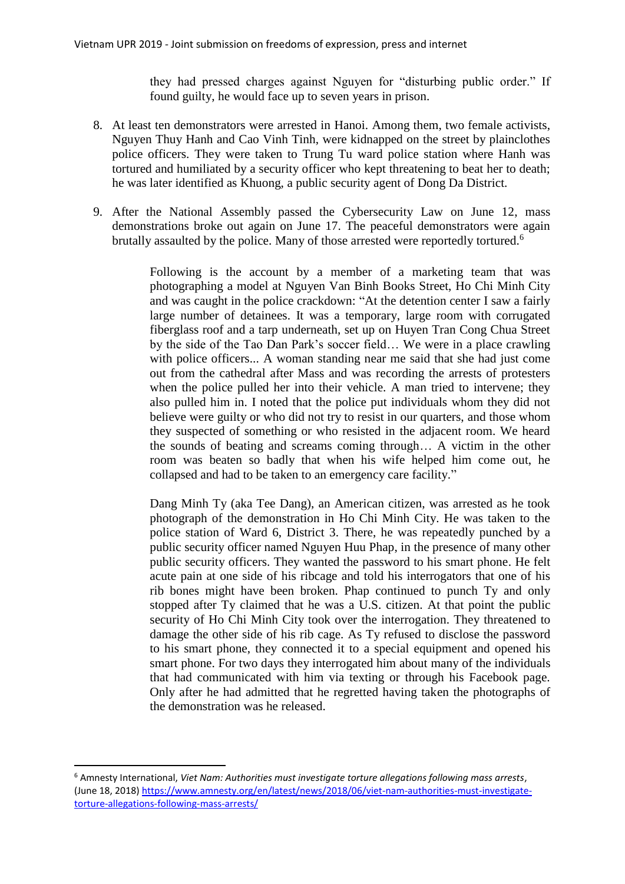they had pressed charges against Nguyen for "disturbing public order." If found guilty, he would face up to seven years in prison.

- 8. At least ten demonstrators were arrested in Hanoi. Among them, two female activists, Nguyen Thuy Hanh and Cao Vinh Tinh, were kidnapped on the street by plainclothes police officers. They were taken to Trung Tu ward police station where Hanh was tortured and humiliated by a security officer who kept threatening to beat her to death; he was later identified as Khuong, a public security agent of Dong Da District.
- 9. After the National Assembly passed the Cybersecurity Law on June 12, mass demonstrations broke out again on June 17. The peaceful demonstrators were again brutally assaulted by the police. Many of those arrested were reportedly tortured.<sup>6</sup>

Following is the account by a member of a marketing team that was photographing a model at Nguyen Van Binh Books Street, Ho Chi Minh City and was caught in the police crackdown: "At the detention center I saw a fairly large number of detainees. It was a temporary, large room with corrugated fiberglass roof and a tarp underneath, set up on Huyen Tran Cong Chua Street by the side of the Tao Dan Park's soccer field… We were in a place crawling with police officers... A woman standing near me said that she had just come out from the cathedral after Mass and was recording the arrests of protesters when the police pulled her into their vehicle. A man tried to intervene; they also pulled him in. I noted that the police put individuals whom they did not believe were guilty or who did not try to resist in our quarters, and those whom they suspected of something or who resisted in the adjacent room. We heard the sounds of beating and screams coming through… A victim in the other room was beaten so badly that when his wife helped him come out, he collapsed and had to be taken to an emergency care facility."

Dang Minh Ty (aka Tee Dang), an American citizen, was arrested as he took photograph of the demonstration in Ho Chi Minh City. He was taken to the police station of Ward 6, District 3. There, he was repeatedly punched by a public security officer named Nguyen Huu Phap, in the presence of many other public security officers. They wanted the password to his smart phone. He felt acute pain at one side of his ribcage and told his interrogators that one of his rib bones might have been broken. Phap continued to punch Ty and only stopped after Ty claimed that he was a U.S. citizen. At that point the public security of Ho Chi Minh City took over the interrogation. They threatened to damage the other side of his rib cage. As Ty refused to disclose the password to his smart phone, they connected it to a special equipment and opened his smart phone. For two days they interrogated him about many of the individuals that had communicated with him via texting or through his Facebook page. Only after he had admitted that he regretted having taken the photographs of the demonstration was he released.

<sup>6</sup> Amnesty International, *Viet Nam: Authorities must investigate torture allegations following mass arrests*, (June 18, 2018) [https://www.amnesty.org/en/latest/news/2018/06/viet-nam-authorities-must-investigate](https://www.amnesty.org/en/latest/news/2018/06/viet-nam-authorities-must-investigate-torture-allegations-following-mass-arrests/)[torture-allegations-following-mass-arrests/](https://www.amnesty.org/en/latest/news/2018/06/viet-nam-authorities-must-investigate-torture-allegations-following-mass-arrests/)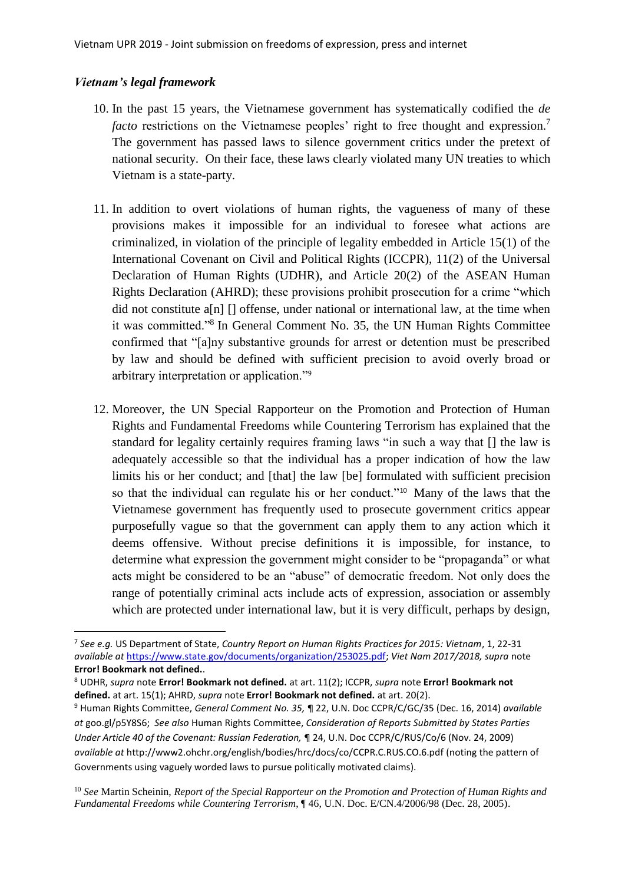#### *Vietnam's legal framework*

- 10. In the past 15 years, the Vietnamese government has systematically codified the *de facto* restrictions on the Vietnamese peoples' right to free thought and expression.<sup>7</sup> The government has passed laws to silence government critics under the pretext of national security. On their face, these laws clearly violated many UN treaties to which Vietnam is a state-party.
- 11. In addition to overt violations of human rights, the vagueness of many of these provisions makes it impossible for an individual to foresee what actions are criminalized, in violation of the principle of legality embedded in Article 15(1) of the International Covenant on Civil and Political Rights (ICCPR), 11(2) of the Universal Declaration of Human Rights (UDHR), and Article 20(2) of the ASEAN Human Rights Declaration (AHRD); these provisions prohibit prosecution for a crime "which did not constitute a[n] [] offense, under national or international law, at the time when it was committed."<sup>8</sup> In General Comment No. 35, the UN Human Rights Committee confirmed that "[a]ny substantive grounds for arrest or detention must be prescribed by law and should be defined with sufficient precision to avoid overly broad or arbitrary interpretation or application."<sup>9</sup>
- 12. Moreover, the UN Special Rapporteur on the Promotion and Protection of Human Rights and Fundamental Freedoms while Countering Terrorism has explained that the standard for legality certainly requires framing laws "in such a way that [] the law is adequately accessible so that the individual has a proper indication of how the law limits his or her conduct; and [that] the law [be] formulated with sufficient precision so that the individual can regulate his or her conduct."<sup>10</sup> Many of the laws that the Vietnamese government has frequently used to prosecute government critics appear purposefully vague so that the government can apply them to any action which it deems offensive. Without precise definitions it is impossible, for instance, to determine what expression the government might consider to be "propaganda" or what acts might be considered to be an "abuse" of democratic freedom. Not only does the range of potentially criminal acts include acts of expression, association or assembly which are protected under international law, but it is very difficult, perhaps by design,

<sup>7</sup> *See e.g.* US Department of State, *Country Report on Human Rights Practices for 2015: Vietnam*, 1, 22-31 *available at* [https://www.state.gov/documents/organization/253025.pdf;](https://www.state.gov/documents/organization/253025.pdf) *Viet Nam 2017/2018, supra* note **Error! Bookmark not defined.**.

<sup>8</sup> UDHR, *supra* note **Error! Bookmark not defined.** at art. 11(2); ICCPR, *supra* note **Error! Bookmark not defined.** at art. 15(1); AHRD, *supra* note **Error! Bookmark not defined.** at art. 20(2).

<sup>9</sup> Human Rights Committee, *General Comment No. 35,* ¶ 22, U.N. Doc CCPR/C/GC/35 (Dec. 16, 2014) *available at* goo.gl/p5Y8S6; *See also* Human Rights Committee, *Consideration of Reports Submitted by States Parties Under Article 40 of the Covenant: Russian Federation,* ¶ 24, U.N. Doc CCPR/C/RUS/Co/6 (Nov. 24, 2009) *available at* http://www2.ohchr.org/english/bodies/hrc/docs/co/CCPR.C.RUS.CO.6.pdf (noting the pattern of Governments using vaguely worded laws to pursue politically motivated claims).

<sup>10</sup> *See* Martin Scheinin, *Report of the Special Rapporteur on the Promotion and Protection of Human Rights and Fundamental Freedoms while Countering Terrorism*, ¶ 46, U.N. Doc. E/CN.4/2006/98 (Dec. 28, 2005).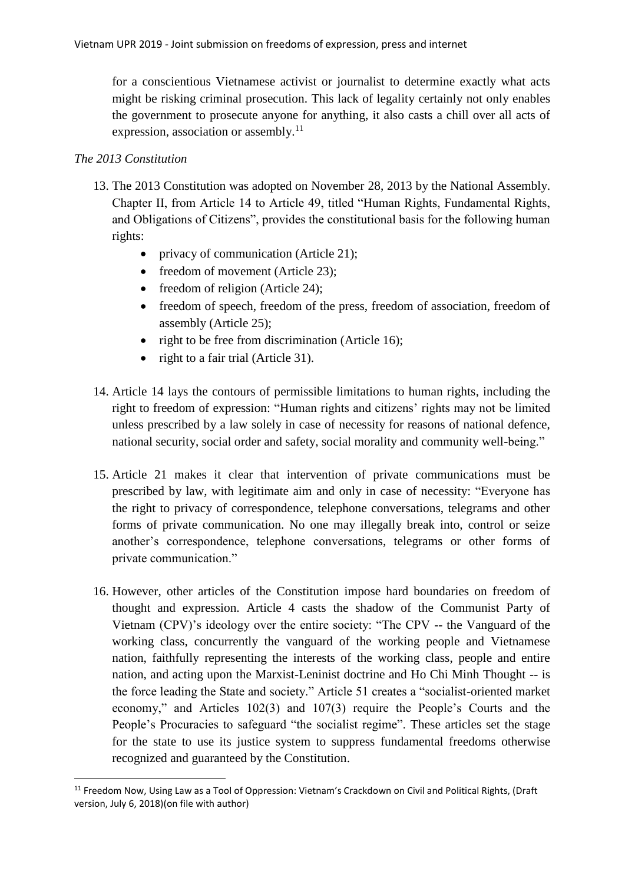for a conscientious Vietnamese activist or journalist to determine exactly what acts might be risking criminal prosecution. This lack of legality certainly not only enables the government to prosecute anyone for anything, it also casts a chill over all acts of expression, association or assembly.<sup>11</sup>

## *The 2013 Constitution*

- 13. The 2013 Constitution was adopted on November 28, 2013 by the National Assembly. Chapter II, from Article 14 to Article 49, titled "Human Rights, Fundamental Rights, and Obligations of Citizens", provides the constitutional basis for the following human rights:
	- privacy of communication (Article 21);
	- freedom of movement (Article 23);
	- freedom of religion (Article 24);
	- freedom of speech, freedom of the press, freedom of association, freedom of assembly (Article 25);
	- right to be free from discrimination (Article 16);
	- right to a fair trial (Article 31).
- 14. Article 14 lays the contours of permissible limitations to human rights, including the right to freedom of expression: "Human rights and citizens' rights may not be limited unless prescribed by a law solely in case of necessity for reasons of national defence, national security, social order and safety, social morality and community well-being."
- 15. Article 21 makes it clear that intervention of private communications must be prescribed by law, with legitimate aim and only in case of necessity: "Everyone has the right to privacy of correspondence, telephone conversations, telegrams and other forms of private communication. No one may illegally break into, control or seize another's correspondence, telephone conversations, telegrams or other forms of private communication."
- 16. However, other articles of the Constitution impose hard boundaries on freedom of thought and expression. Article 4 casts the shadow of the Communist Party of Vietnam (CPV)'s ideology over the entire society: "The CPV -- the Vanguard of the working class, concurrently the vanguard of the working people and Vietnamese nation, faithfully representing the interests of the working class, people and entire nation, and acting upon the Marxist-Leninist doctrine and Ho Chi Minh Thought -- is the force leading the State and society." Article 51 creates a "socialist-oriented market economy," and Articles 102(3) and 107(3) require the People's Courts and the People's Procuracies to safeguard "the socialist regime". These articles set the stage for the state to use its justice system to suppress fundamental freedoms otherwise recognized and guaranteed by the Constitution.

<sup>&</sup>lt;sup>11</sup> Freedom Now, Using Law as a Tool of Oppression: Vietnam's Crackdown on Civil and Political Rights, (Draft version, July 6, 2018)(on file with author)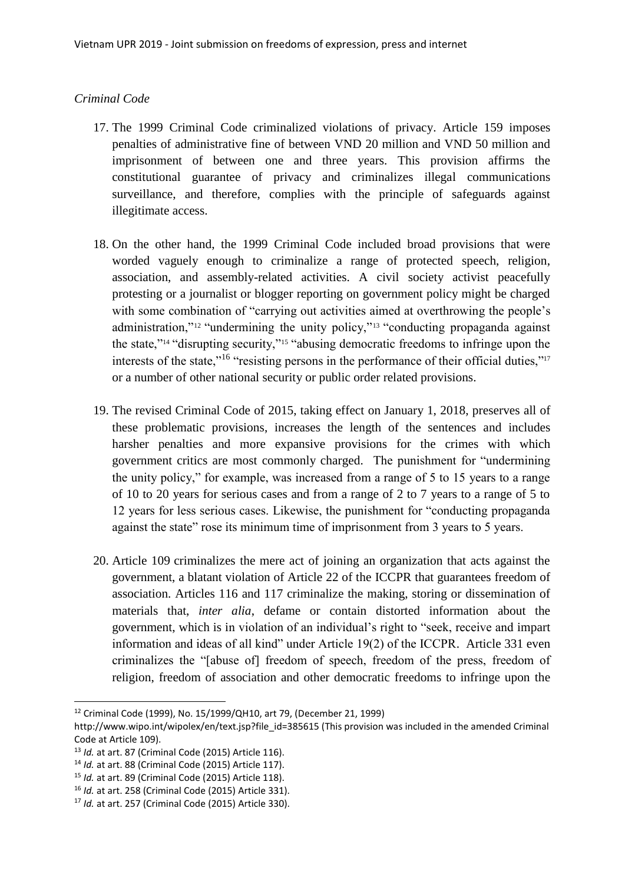## *Criminal Code*

- 17. The 1999 Criminal Code criminalized violations of privacy. Article 159 imposes penalties of administrative fine of between VND 20 million and VND 50 million and imprisonment of between one and three years. This provision affirms the constitutional guarantee of privacy and criminalizes illegal communications surveillance, and therefore, complies with the principle of safeguards against illegitimate access.
- 18. On the other hand, the 1999 Criminal Code included broad provisions that were worded vaguely enough to criminalize a range of protected speech, religion, association, and assembly-related activities. A civil society activist peacefully protesting or a journalist or blogger reporting on government policy might be charged with some combination of "carrying out activities aimed at overthrowing the people's administration,"<sup>12</sup> "undermining the unity policy,"<sup>13</sup> "conducting propaganda against the state,"<sup>14</sup> "disrupting security,"<sup>15</sup> "abusing democratic freedoms to infringe upon the interests of the state,"<sup>16</sup> "resisting persons in the performance of their official duties,"<sup>17</sup> or a number of other national security or public order related provisions.
- 19. The revised Criminal Code of 2015, taking effect on January 1, 2018, preserves all of these problematic provisions, increases the length of the sentences and includes harsher penalties and more expansive provisions for the crimes with which government critics are most commonly charged. The punishment for "undermining the unity policy," for example, was increased from a range of 5 to 15 years to a range of 10 to 20 years for serious cases and from a range of 2 to 7 years to a range of 5 to 12 years for less serious cases. Likewise, the punishment for "conducting propaganda against the state" rose its minimum time of imprisonment from 3 years to 5 years.
- 20. Article 109 criminalizes the mere act of joining an organization that acts against the government, a blatant violation of Article 22 of the ICCPR that guarantees freedom of association. Articles 116 and 117 criminalize the making, storing or dissemination of materials that, *inter alia*, defame or contain distorted information about the government, which is in violation of an individual's right to "seek, receive and impart information and ideas of all kind" under Article 19(2) of the ICCPR. Article 331 even criminalizes the "[abuse of] freedom of speech, freedom of the press, freedom of religion, freedom of association and other democratic freedoms to infringe upon the

1

<sup>12</sup> Criminal Code (1999), No. 15/1999/QH10, art 79, (December 21, 1999)

http://www.wipo.int/wipolex/en/text.jsp?file\_id=385615 (This provision was included in the amended Criminal Code at Article 109).

<sup>13</sup> *Id.* at art. 87 (Criminal Code (2015) Article 116).

<sup>14</sup> *Id.* at art. 88 (Criminal Code (2015) Article 117).

<sup>15</sup> *Id.* at art. 89 (Criminal Code (2015) Article 118).

<sup>16</sup> *Id.* at art. 258 (Criminal Code (2015) Article 331).

<sup>17</sup> *Id.* at art. 257 (Criminal Code (2015) Article 330).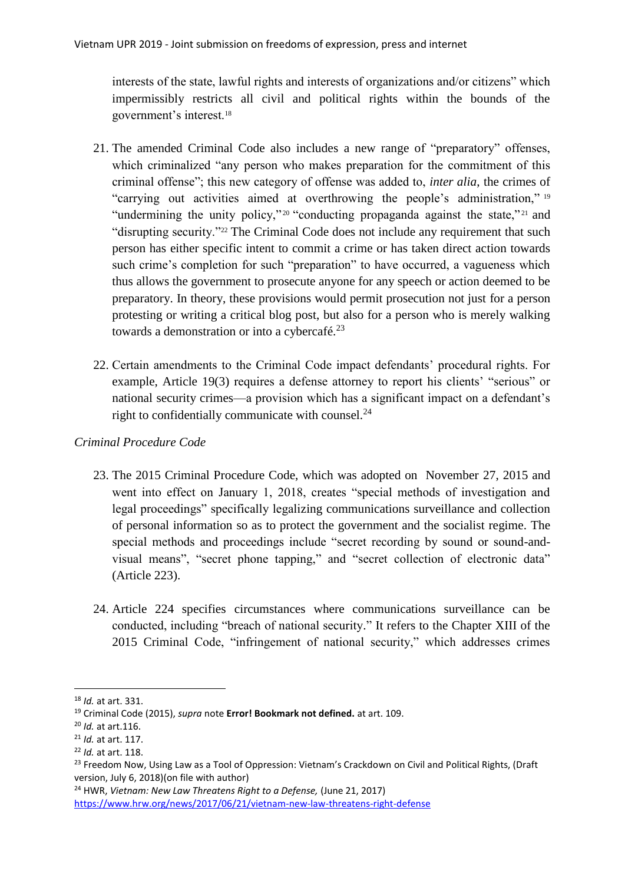interests of the state, lawful rights and interests of organizations and/or citizens" which impermissibly restricts all civil and political rights within the bounds of the government's interest.<sup>18</sup>

- 21. The amended Criminal Code also includes a new range of "preparatory" offenses, which criminalized "any person who makes preparation for the commitment of this criminal offense"; this new category of offense was added to, *inter alia*, the crimes of "carrying out activities aimed at overthrowing the people's administration," <sup>19</sup> "undermining the unity policy,"<sup>20</sup> "conducting propaganda against the state,"<sup>21</sup> and "disrupting security."<sup>22</sup> The Criminal Code does not include any requirement that such person has either specific intent to commit a crime or has taken direct action towards such crime's completion for such "preparation" to have occurred, a vagueness which thus allows the government to prosecute anyone for any speech or action deemed to be preparatory. In theory, these provisions would permit prosecution not just for a person protesting or writing a critical blog post, but also for a person who is merely walking towards a demonstration or into a cybercafé.<sup>23</sup>
- 22. Certain amendments to the Criminal Code impact defendants' procedural rights. For example, Article 19(3) requires a defense attorney to report his clients' "serious" or national security crimes—a provision which has a significant impact on a defendant's right to confidentially communicate with counsel. $^{24}$

## *Criminal Procedure Code*

- 23. The 2015 Criminal Procedure Code, which was adopted on November 27, 2015 and went into effect on January 1, 2018, creates "special methods of investigation and legal proceedings" specifically legalizing communications surveillance and collection of personal information so as to protect the government and the socialist regime. The special methods and proceedings include "secret recording by sound or sound-andvisual means", "secret phone tapping," and "secret collection of electronic data" (Article 223).
- 24. Article 224 specifies circumstances where communications surveillance can be conducted, including "breach of national security." It refers to the Chapter XIII of the 2015 Criminal Code, "infringement of national security," which addresses crimes

**<sup>.</sup>** <sup>18</sup> *Id.* at art. 331.

<sup>19</sup> Criminal Code (2015), *supra* note **Error! Bookmark not defined.** at art. 109.

<sup>20</sup> *Id.* at art.116.

<sup>21</sup> *Id.* at art. 117.

<sup>22</sup> *Id.* at art. 118.

<sup>&</sup>lt;sup>23</sup> Freedom Now, Using Law as a Tool of Oppression: Vietnam's Crackdown on Civil and Political Rights, (Draft version, July 6, 2018)(on file with author)

<sup>24</sup> HWR, *Vietnam: New Law Threatens Right to a Defense,* (June 21, 2017) <https://www.hrw.org/news/2017/06/21/vietnam-new-law-threatens-right-defense>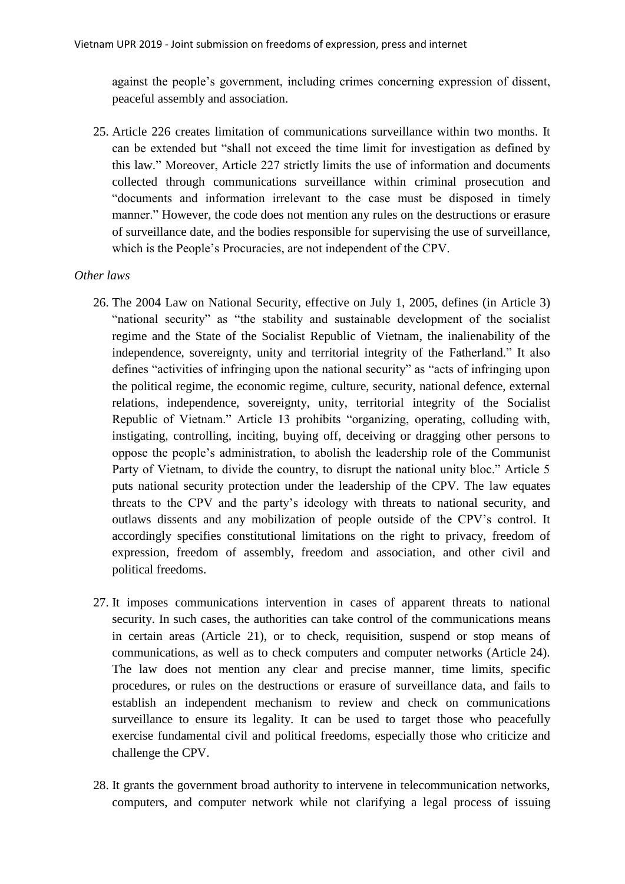against the people's government, including crimes concerning expression of dissent, peaceful assembly and association.

25. Article 226 creates limitation of communications surveillance within two months. It can be extended but "shall not exceed the time limit for investigation as defined by this law." Moreover, Article 227 strictly limits the use of information and documents collected through communications surveillance within criminal prosecution and "documents and information irrelevant to the case must be disposed in timely manner." However, the code does not mention any rules on the destructions or erasure of surveillance date, and the bodies responsible for supervising the use of surveillance, which is the People's Procuracies, are not independent of the CPV.

#### *Other laws*

- 26. The 2004 Law on National Security, effective on July 1, 2005, defines (in Article 3) "national security" as "the stability and sustainable development of the socialist regime and the State of the Socialist Republic of Vietnam, the inalienability of the independence, sovereignty, unity and territorial integrity of the Fatherland." It also defines "activities of infringing upon the national security" as "acts of infringing upon the political regime, the economic regime, culture, security, national defence, external relations, independence, sovereignty, unity, territorial integrity of the Socialist Republic of Vietnam." Article 13 prohibits "organizing, operating, colluding with, instigating, controlling, inciting, buying off, deceiving or dragging other persons to oppose the people's administration, to abolish the leadership role of the Communist Party of Vietnam, to divide the country, to disrupt the national unity bloc." Article 5 puts national security protection under the leadership of the CPV. The law equates threats to the CPV and the party's ideology with threats to national security, and outlaws dissents and any mobilization of people outside of the CPV's control. It accordingly specifies constitutional limitations on the right to privacy, freedom of expression, freedom of assembly, freedom and association, and other civil and political freedoms.
- 27. It imposes communications intervention in cases of apparent threats to national security. In such cases, the authorities can take control of the communications means in certain areas (Article 21), or to check, requisition, suspend or stop means of communications, as well as to check computers and computer networks (Article 24). The law does not mention any clear and precise manner, time limits, specific procedures, or rules on the destructions or erasure of surveillance data, and fails to establish an independent mechanism to review and check on communications surveillance to ensure its legality. It can be used to target those who peacefully exercise fundamental civil and political freedoms, especially those who criticize and challenge the CPV.
- 28. It grants the government broad authority to intervene in telecommunication networks, computers, and computer network while not clarifying a legal process of issuing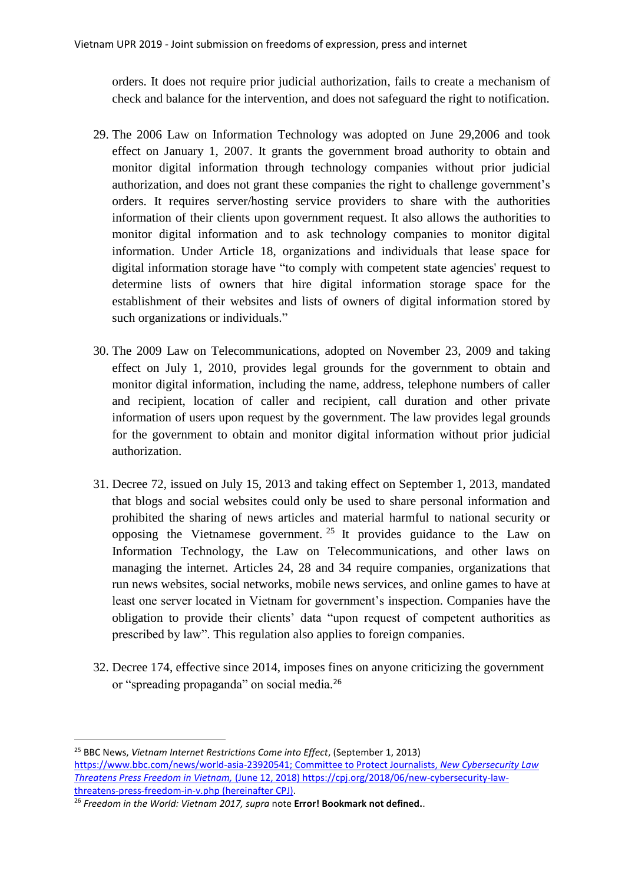orders. It does not require prior judicial authorization, fails to create a mechanism of check and balance for the intervention, and does not safeguard the right to notification.

- 29. The 2006 Law on Information Technology was adopted on June 29,2006 and took effect on January 1, 2007. It grants the government broad authority to obtain and monitor digital information through technology companies without prior judicial authorization, and does not grant these companies the right to challenge government's orders. It requires server/hosting service providers to share with the authorities information of their clients upon government request. It also allows the authorities to monitor digital information and to ask technology companies to monitor digital information. Under Article 18, organizations and individuals that lease space for digital information storage have "to comply with competent state agencies' request to determine lists of owners that hire digital information storage space for the establishment of their websites and lists of owners of digital information stored by such organizations or individuals."
- 30. The 2009 Law on Telecommunications, adopted on November 23, 2009 and taking effect on July 1, 2010, provides legal grounds for the government to obtain and monitor digital information, including the name, address, telephone numbers of caller and recipient, location of caller and recipient, call duration and other private information of users upon request by the government. The law provides legal grounds for the government to obtain and monitor digital information without prior judicial authorization.
- 31. Decree 72, issued on July 15, 2013 and taking effect on September 1, 2013, mandated that blogs and social websites could only be used to share personal information and prohibited the sharing of news articles and material harmful to national security or opposing the Vietnamese government.<sup>25</sup> It provides guidance to the Law on Information Technology, the Law on Telecommunications, and other laws on managing the internet. Articles 24, 28 and 34 require companies, organizations that run news websites, social networks, mobile news services, and online games to have at least one server located in Vietnam for government's inspection. Companies have the obligation to provide their clients' data "upon request of competent authorities as prescribed by law". This regulation also applies to foreign companies.
- 32. Decree 174, effective since 2014, imposes fines on anyone criticizing the government or "spreading propaganda" on social media.<sup>26</sup>

<sup>25</sup> BBC News, *Vietnam Internet Restrictions Come into Effect*, (September 1, 2013) [https://www.bbc.com/news/world-asia-23920541;](https://www.bbc.com/news/world-asia-23920541) Committee to Protect Journalists, *New Cybersecurity Law Threatens Press Freedom in Vietnam,* (June 12, 2018) https://cpj.org/2018/06/new-cybersecurity-lawthreatens-press-freedom-in-v.php (hereinafter CPJ).

<sup>26</sup> *Freedom in the World: Vietnam 2017, supra* note **Error! Bookmark not defined.**.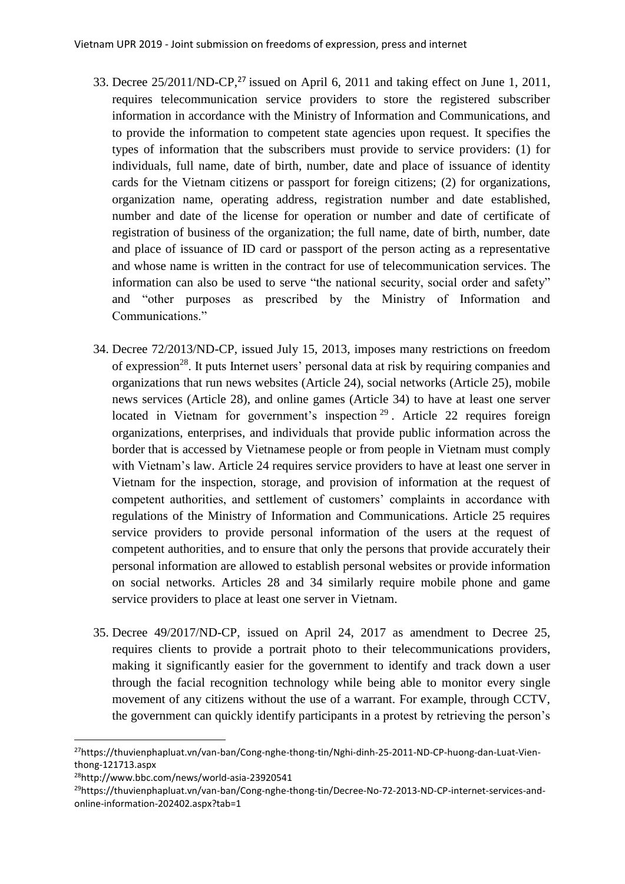- 33. Decree 25/2011/ND-CP, <sup>27</sup> issued on April 6, 2011 and taking effect on June 1, 2011, requires telecommunication service providers to store the registered subscriber information in accordance with the Ministry of Information and Communications, and to provide the information to competent state agencies upon request. It specifies the types of information that the subscribers must provide to service providers: (1) for individuals, full name, date of birth, number, date and place of issuance of identity cards for the Vietnam citizens or passport for foreign citizens; (2) for organizations, organization name, operating address, registration number and date established, number and date of the license for operation or number and date of certificate of registration of business of the organization; the full name, date of birth, number, date and place of issuance of ID card or passport of the person acting as a representative and whose name is written in the contract for use of telecommunication services. The information can also be used to serve "the national security, social order and safety" and "other purposes as prescribed by the Ministry of Information and Communications."
- 34. Decree 72/2013/ND-CP, issued July 15, 2013, imposes many restrictions on freedom of expression<sup>28</sup>. It puts Internet users' personal data at risk by requiring companies and organizations that run news websites (Article 24), social networks (Article 25), mobile news services (Article 28), and online games (Article 34) to have at least one server located in Vietnam for government's inspection<sup>29</sup>. Article 22 requires foreign organizations, enterprises, and individuals that provide public information across the border that is accessed by Vietnamese people or from people in Vietnam must comply with Vietnam's law. Article 24 requires service providers to have at least one server in Vietnam for the inspection, storage, and provision of information at the request of competent authorities, and settlement of customers' complaints in accordance with regulations of the Ministry of Information and Communications. Article 25 requires service providers to provide personal information of the users at the request of competent authorities, and to ensure that only the persons that provide accurately their personal information are allowed to establish personal websites or provide information on social networks. Articles 28 and 34 similarly require mobile phone and game service providers to place at least one server in Vietnam.
- 35. Decree 49/2017/ND-CP, issued on April 24, 2017 as amendment to Decree 25, requires clients to provide a portrait photo to their telecommunications providers, making it significantly easier for the government to identify and track down a user through the facial recognition technology while being able to monitor every single movement of any citizens without the use of a warrant. For example, through CCTV, the government can quickly identify participants in a protest by retrieving the person's

<sup>27</sup>https://thuvienphapluat.vn/van-ban/Cong-nghe-thong-tin/Nghi-dinh-25-2011-ND-CP-huong-dan-Luat-Vienthong-121713.aspx

<sup>28</sup>http://www.bbc.com/news/world-asia-23920541

<sup>&</sup>lt;sup>29</sup>https://thuvienphapluat.vn/van-ban/Cong-nghe-thong-tin/Decree-No-72-2013-ND-CP-internet-services-andonline-information-202402.aspx?tab=1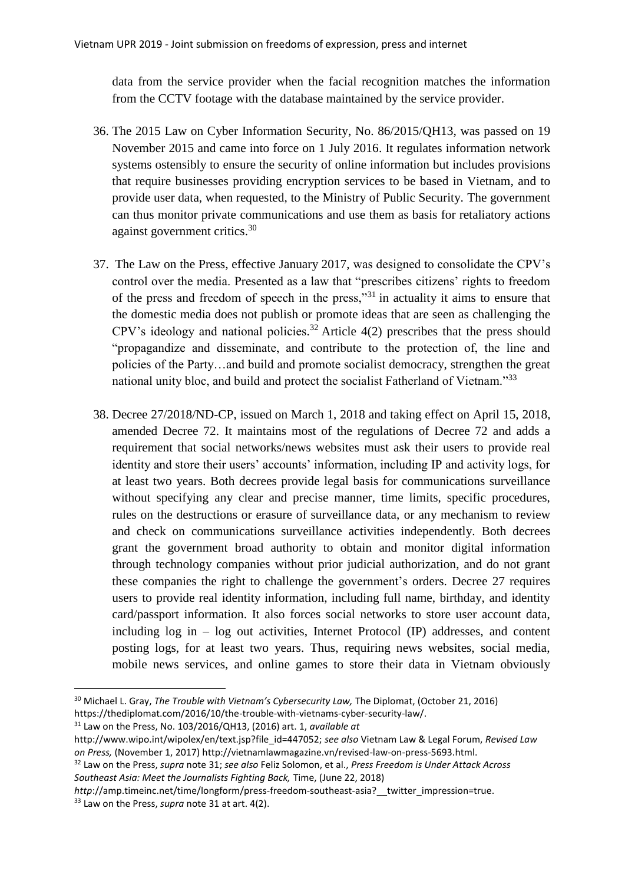data from the service provider when the facial recognition matches the information from the CCTV footage with the database maintained by the service provider.

- 36. The 2015 Law on Cyber Information Security, No. 86/2015/QH13, was passed on 19 November 2015 and came into force on 1 July 2016. It regulates information network systems ostensibly to ensure the security of online information but includes provisions that require businesses providing encryption services to be based in Vietnam, and to provide user data, when requested, to the Ministry of Public Security. The government can thus monitor private communications and use them as basis for retaliatory actions against government critics.<sup>30</sup>
- <span id="page-10-0"></span>37. The Law on the Press, effective January 2017, was designed to consolidate the CPV's control over the media. Presented as a law that "prescribes citizens' rights to freedom of the press and freedom of speech in the press,"<sup>31</sup> in actuality it aims to ensure that the domestic media does not publish or promote ideas that are seen as challenging the CPV's ideology and national policies.<sup>32</sup> Article  $4(2)$  prescribes that the press should "propagandize and disseminate, and contribute to the protection of, the line and policies of the Party…and build and promote socialist democracy, strengthen the great national unity bloc, and build and protect the socialist Fatherland of Vietnam."<sup>33</sup>
- 38. Decree 27/2018/ND-CP, issued on March 1, 2018 and taking effect on April 15, 2018, amended Decree 72. It maintains most of the regulations of Decree 72 and adds a requirement that social networks/news websites must ask their users to provide real identity and store their users' accounts' information, including IP and activity logs, for at least two years. Both decrees provide legal basis for communications surveillance without specifying any clear and precise manner, time limits, specific procedures, rules on the destructions or erasure of surveillance data, or any mechanism to review and check on communications surveillance activities independently. Both decrees grant the government broad authority to obtain and monitor digital information through technology companies without prior judicial authorization, and do not grant these companies the right to challenge the government's orders. Decree 27 requires users to provide real identity information, including full name, birthday, and identity card/passport information. It also forces social networks to store user account data, including log in – log out activities, Internet Protocol (IP) addresses, and content posting logs, for at least two years. Thus, requiring news websites, social media, mobile news services, and online games to store their data in Vietnam obviously

<sup>30</sup> Michael L. Gray, *The Trouble with Vietnam's Cybersecurity Law,* The Diplomat, (October 21, 2016) https://thediplomat.com/2016/10/the-trouble-with-vietnams-cyber-security-law/.

<sup>31</sup> Law on the Press, No. 103/2016/QH13, (2016) art. 1, *available at*

http://www.wipo.int/wipolex/en/text.jsp?file\_id=447052; *see also* Vietnam Law & Legal Forum, *Revised Law on Press,* (November 1, 2017) http://vietnamlawmagazine.vn/revised-law-on-press-5693.html.

<sup>32</sup> Law on the Press, *supra* note [31;](#page-10-0) *see also* Feliz Solomon, et al., *Press Freedom is Under Attack Across Southeast Asia: Meet the Journalists Fighting Back,* Time, (June 22, 2018)

*http*://amp.timeinc.net/time/longform/press-freedom-southeast-asia?\_\_twitter\_impression=true. <sup>33</sup> Law on the Press, *supra* note [31](#page-10-0) at art. 4(2).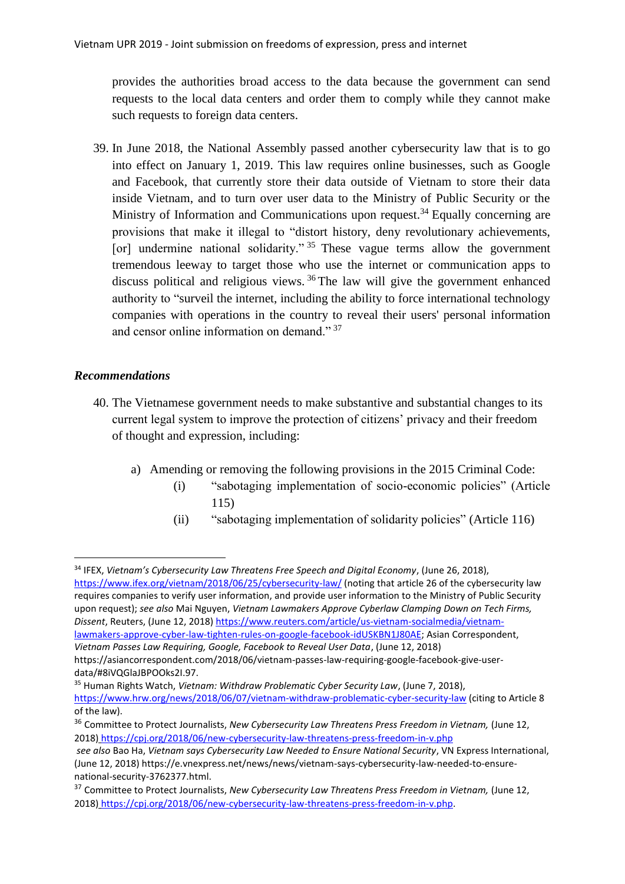provides the authorities broad access to the data because the government can send requests to the local data centers and order them to comply while they cannot make such requests to foreign data centers.

39. In June 2018, the National Assembly passed another cybersecurity law that is to go into effect on January 1, 2019. This law requires online businesses, such as Google and Facebook, that currently store their data outside of Vietnam to store their data inside Vietnam, and to turn over user data to the Ministry of Public Security or the Ministry of Information and Communications upon request.<sup>34</sup> Equally concerning are provisions that make it illegal to "distort history, deny revolutionary achievements, [or] undermine national solidarity."  $35$  These vague terms allow the government tremendous leeway to target those who use the internet or communication apps to discuss political and religious views. <sup>36</sup> The law will give the government enhanced authority to "surveil the internet, including the ability to force international technology companies with operations in the country to reveal their users' personal information and censor online information on demand." 37

#### *Recommendations*

1

- 40. The Vietnamese government needs to make substantive and substantial changes to its current legal system to improve the protection of citizens' privacy and their freedom of thought and expression, including:
	- a) Amending or removing the following provisions in the 2015 Criminal Code:
		- (i) "sabotaging implementation of socio-economic policies" (Article 115)
		- (ii) "sabotaging implementation of solidarity policies" (Article 116)

https://asiancorrespondent.com/2018/06/vietnam-passes-law-requiring-google-facebook-give-userdata/#8iVQGlaJBPOOks2I.97.

<sup>35</sup> Human Rights Watch, *Vietnam: Withdraw Problematic Cyber Security Law*, (June 7, 2018),

<sup>34</sup> IFEX, *Vietnam's Cybersecurity Law Threatens Free Speech and Digital Economy*, (June 26, 2018), <https://www.ifex.org/vietnam/2018/06/25/cybersecurity-law/> (noting that article 26 of the cybersecurity law requires companies to verify user information, and provide user information to the Ministry of Public Security upon request); *see also* Mai Nguyen, *Vietnam Lawmakers Approve Cyberlaw Clamping Down on Tech Firms, Dissent*, Reuters, (June 12, 2018[\) https://www.reuters.com/article/us-vietnam-socialmedia/vietnam](https://www.reuters.com/article/us-vietnam-socialmedia/vietnam-lawmakers-approve-cyber-law-tighten-rules-on-google-facebook-idUSKBN1J80AE)[lawmakers-approve-cyber-law-tighten-rules-on-google-facebook-idUSKBN1J80AE;](https://www.reuters.com/article/us-vietnam-socialmedia/vietnam-lawmakers-approve-cyber-law-tighten-rules-on-google-facebook-idUSKBN1J80AE) Asian Correspondent, *Vietnam Passes Law Requiring, Google, Facebook to Reveal User Data*, (June 12, 2018)

<https://www.hrw.org/news/2018/06/07/vietnam-withdraw-problematic-cyber-security-law> (citing to Article 8 of the law).

<sup>36</sup> Committee to Protect Journalists, *New Cybersecurity Law Threatens Press Freedom in Vietnam,* (June 12, 2018) <https://cpj.org/2018/06/new-cybersecurity-law-threatens-press-freedom-in-v.php>

*see also* Bao Ha, *Vietnam says Cybersecurity Law Needed to Ensure National Security*, VN Express International, (June 12, 2018) https://e.vnexpress.net/news/news/vietnam-says-cybersecurity-law-needed-to-ensurenational-security-3762377.html.

<sup>37</sup> Committee to Protect Journalists, *New Cybersecurity Law Threatens Press Freedom in Vietnam,* (June 12, 2018) [https://cpj.org/2018/06/new-cybersecurity-law-threatens-press-freedom-in-v.php.](https://cpj.org/2018/06/new-cybersecurity-law-threatens-press-freedom-in-v.php)